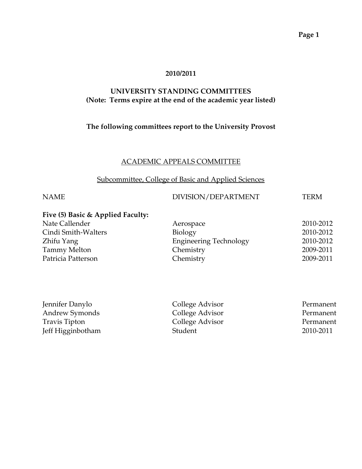#### **2010/2011**

#### **UNIVERSITY STANDING COMMITTEES (Note: Terms expire at the end of the academic year listed)**

#### **The following committees report to the University Provost**

#### ACADEMIC APPEALS COMMITTEE

#### Subcommittee, College of Basic and Applied Sciences

# NAME DIVISION/DEPARTMENT TERM

# **Five (5) Basic & Applied Faculty:**

| Aerospace                     | 2010-2012 |
|-------------------------------|-----------|
| Biology                       | 2010-2012 |
| <b>Engineering Technology</b> | 2010-2012 |
| Chemistry                     | 2009-2011 |
| Chemistry                     | 2009-2011 |
|                               |           |

| Jennifer Danylo   | College Advisor | Permanent |
|-------------------|-----------------|-----------|
| Andrew Symonds    | College Advisor | Permanent |
| Travis Tipton     | College Advisor | Permanent |
| Jeff Higginbotham | Student         | 2010-2011 |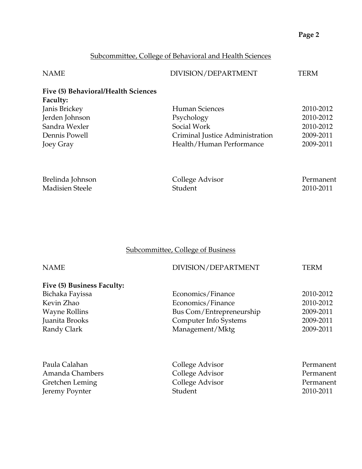# Subcommittee, College of Behavioral and Health Sciences

| <b>NAME</b>                                            | DIVISION/DEPARTMENT             | TERM                   |
|--------------------------------------------------------|---------------------------------|------------------------|
| Five (5) Behavioral/Health Sciences<br><b>Faculty:</b> |                                 |                        |
| Janis Brickey                                          | Human Sciences                  | 2010-2012              |
| Jerden Johnson                                         | Psychology                      | 2010-2012              |
| Sandra Wexler                                          | Social Work                     | 2010-2012              |
| Dennis Powell                                          | Criminal Justice Administration | 2009-2011              |
| Joey Gray                                              | Health/Human Performance        | 2009-2011              |
|                                                        |                                 |                        |
| Brelinda Johnson<br><b>Madisien Steele</b>             | College Advisor<br>Student      | Permanent<br>2010-2011 |
|                                                        |                                 |                        |

# Subcommittee, College of Business

| <b>NAME</b>                | DIVISION/DEPARTMENT      | TERM      |
|----------------------------|--------------------------|-----------|
| Five (5) Business Faculty: |                          |           |
| Bichaka Fayissa            | Economics/Finance        | 2010-2012 |
| Kevin Zhao                 | Economics/Finance        | 2010-2012 |
| <b>Wayne Rollins</b>       | Bus Com/Entrepreneurship | 2009-2011 |
| Juanita Brooks             | Computer Info Systems    | 2009-2011 |
| Randy Clark                | Management/Mktg          | 2009-2011 |
|                            |                          |           |
| Paula Calahan              | College Advisor          | Permanent |
| Amanda Chambers            | College Advisor          | Permanent |
| Gretchen Leming            | College Advisor          | Permanent |
| Jeremy Poynter             | Student                  | 2010-2011 |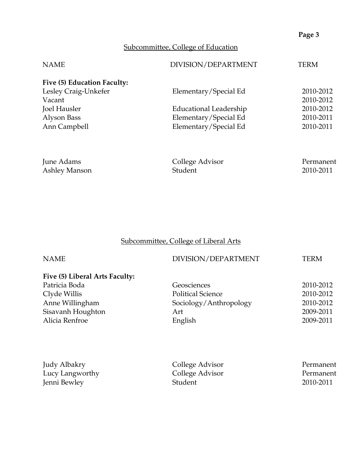# Subcommittee, College of Education

| <b>NAME</b>                 | DIVISION/DEPARTMENT    | TERM      |
|-----------------------------|------------------------|-----------|
| Five (5) Education Faculty: |                        |           |
| Lesley Craig-Unkefer        | Elementary/Special Ed  | 2010-2012 |
| Vacant                      |                        | 2010-2012 |
| Joel Hausler                | Educational Leadership | 2010-2012 |
| Alyson Bass                 | Elementary/Special Ed  | 2010-2011 |
| Ann Campbell                | Elementary/Special Ed  | 2010-2011 |
|                             |                        |           |
|                             |                        |           |

| June Adams    | College Advisor | Permanent |
|---------------|-----------------|-----------|
| Ashley Manson | Student         | 2010-2011 |

# Subcommittee, College of Liberal Arts

| <b>NAME</b>                    | DIVISION/DEPARTMENT      | TERM      |
|--------------------------------|--------------------------|-----------|
| Five (5) Liberal Arts Faculty: |                          |           |
| Patricia Boda                  | Geosciences              | 2010-2012 |
| Clyde Willis                   | <b>Political Science</b> | 2010-2012 |
| Anne Willingham                | Sociology/Anthropology   | 2010-2012 |
| Sisavanh Houghton              | Art                      | 2009-2011 |
| Alicia Renfroe                 | English                  | 2009-2011 |
|                                |                          |           |
|                                |                          |           |
|                                |                          |           |

| Judy Albakry    | College Advisor | Permanent |
|-----------------|-----------------|-----------|
| Lucy Langworthy | College Advisor | Permanent |
| Jenni Bewley    | Student         | 2010-2011 |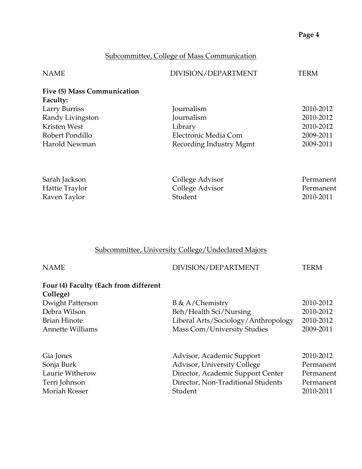# Subcommittee, College of Mass Communication

| <b>NAME</b>                 | DIVISION/DEPARTMENT     | TERM      |
|-----------------------------|-------------------------|-----------|
| Five (5) Mass Communication |                         |           |
| <b>Faculty:</b>             |                         |           |
| Larry Burriss               | Journalism              | 2010-2012 |
| Randy Livingston            | Journalism              | 2010-2012 |
| Kristen West                | Library                 | 2010-2012 |
| Robert Pondillo             | Electronic Media Com    | 2009-2011 |
| Harold Newman               | Recording Industry Mgmt | 2009-2011 |
|                             |                         |           |
| Sarah Jackson               | College Advisor         | Permanent |
| Hattie Traylor              | College Advisor         | Permanent |
| Raven Taylor                | Student                 | 2010-2011 |

# Subcommittee, University College/Undeclared Majors

| DIVISION/DEPARTMENT                 | TERM      |
|-------------------------------------|-----------|
|                                     |           |
|                                     |           |
| $B \& A/Chemistry$                  | 2010-2012 |
| Beh/Health Sci/Nursing              | 2010-2012 |
| Liberal Arts/Sociology/Anthropology | 2010-2012 |
| Mass Com/University Studies         | 2009-2011 |
| Advisor, Academic Support           | 2010-2012 |
| Advisor, University College         | Permanent |
| Director, Academic Support Center   | Permanent |
| Director, Non-Traditional Students  | Permanent |
| Student                             | 2010-2011 |
|                                     |           |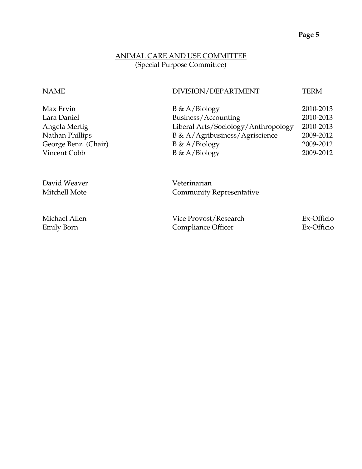## ANIMAL CARE AND USE COMMITTEE (Special Purpose Committee)

#### NAME DIVISION/DEPARTMENT TERM

| Max Ervin           | $B \& A/Biology$                    | 2010-2013 |
|---------------------|-------------------------------------|-----------|
| Lara Daniel         | Business/Accounting                 | 2010-2013 |
| Angela Mertig       | Liberal Arts/Sociology/Anthropology | 2010-2013 |
| Nathan Phillips     | B & A/Agribusiness/Agriscience      | 2009-2012 |
| George Benz (Chair) | $B \& A/Biology$                    | 2009-2012 |
| Vincent Cobb        | $B \& A/Biology$                    | 2009-2012 |
|                     |                                     |           |

David Weaver **Veterinarian** Mitchell Mote **Community Representative** 

| Michael Allen | Vice Provost/Research | Ex-Officio |
|---------------|-----------------------|------------|
| Emily Born    | Compliance Officer    | Ex-Officio |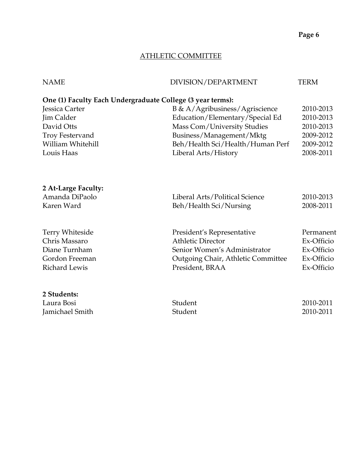## ATHLETIC COMMITTEE

| <b>NAME</b>                                                | DIVISION/DEPARTMENT                | <b>TERM</b> |
|------------------------------------------------------------|------------------------------------|-------------|
| One (1) Faculty Each Undergraduate College (3 year terms): |                                    |             |
| Jessica Carter                                             | B & A/Agribusiness/Agriscience     | 2010-2013   |
| <b>Jim Calder</b>                                          | Education/Elementary/Special Ed    | 2010-2013   |
| David Otts                                                 | Mass Com/University Studies        | 2010-2013   |
| <b>Troy Festervand</b>                                     | Business/Management/Mktg           | 2009-2012   |
| William Whitehill                                          | Beh/Health Sci/Health/Human Perf   | 2009-2012   |
| Louis Haas                                                 | Liberal Arts/History               | 2008-2011   |
|                                                            |                                    |             |
| 2 At-Large Faculty:                                        |                                    |             |
| Amanda DiPaolo                                             | Liberal Arts/Political Science     | 2010-2013   |
| Karen Ward                                                 | Beh/Health Sci/Nursing             | 2008-2011   |
| Terry Whiteside                                            | President's Representative         | Permanent   |
| Chris Massaro                                              | <b>Athletic Director</b>           | Ex-Officio  |
| Diane Turnham                                              | Senior Women's Administrator       | Ex-Officio  |
| Gordon Freeman                                             | Outgoing Chair, Athletic Committee | Ex-Officio  |
| <b>Richard Lewis</b>                                       | President, BRAA                    | Ex-Officio  |
| 2 Students:                                                |                                    |             |
| Laura Bosi                                                 | Student                            | 2010-2011   |
| Jamichael Smith                                            | Student                            | 2010-2011   |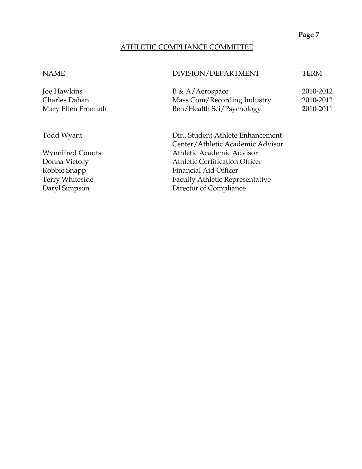#### ATHLETIC COMPLIANCE COMMITTEE

NAME DIVISION/DEPARTMENT TERM

| Joe Hawkins        | $B \& A/Aerospace$          | 2010-2012 |
|--------------------|-----------------------------|-----------|
| Charles Dahan      | Mass Com/Recording Industry | 2010-2012 |
| Mary Ellen Fromuth | Beh/Health Sci/Psychology   | 2010-2011 |

Todd Wyant Dir., Student Athlete Enhancement Center/Athletic Academic Advisor Wynnifred Counts **Athletic Academic Advisor** Donna Victory **Athletic Certification Officer** Robbie Snapp Financial Aid Officer Terry Whiteside Faculty Athletic Representative Daryl Simpson Director of Compliance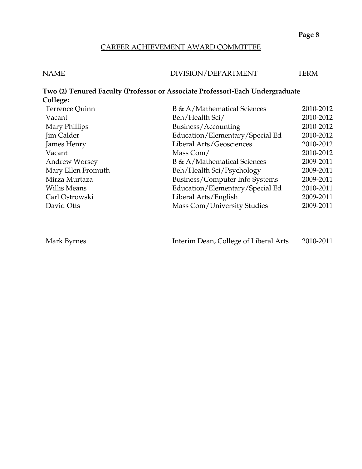## CAREER ACHIEVEMENT AWARD COMMITTEE

| <b>NAME</b> | DIVISION/DEPARTMENT | TERM |
|-------------|---------------------|------|
|             |                     |      |

| College:             | Two (2) Tenured Faculty (Professor or Associate Professor)-Each Undergraduate |           |
|----------------------|-------------------------------------------------------------------------------|-----------|
| Terrence Quinn       | B & A/Mathematical Sciences                                                   | 2010-2012 |
| Vacant               | Beh/Health Sci/                                                               | 2010-2012 |
| Mary Phillips        | Business/Accounting                                                           | 2010-2012 |
| Jim Calder           | Education/Elementary/Special Ed                                               | 2010-2012 |
| James Henry          | Liberal Arts/Geosciences                                                      | 2010-2012 |
| Vacant               | Mass Com/                                                                     | 2010-2012 |
| <b>Andrew Worsey</b> | B & A/Mathematical Sciences                                                   | 2009-2011 |
| Mary Ellen Fromuth   | Beh/Health Sci/Psychology                                                     | 2009-2011 |
| Mirza Murtaza        | Business/Computer Info Systems                                                | 2009-2011 |
| Willis Means         | Education/Elementary/Special Ed                                               | 2010-2011 |
| Carl Ostrowski       | Liberal Arts/English                                                          | 2009-2011 |
| David Otts           | Mass Com/University Studies                                                   | 2009-2011 |
|                      |                                                                               |           |

Mark Byrnes Interim Dean, College of Liberal Arts 2010-2011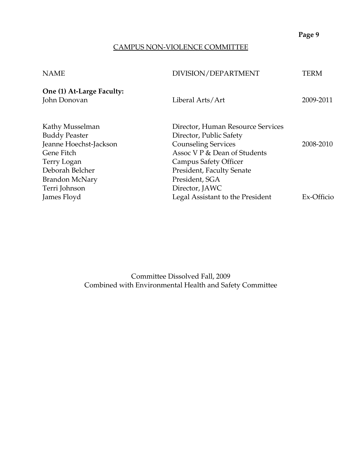# CAMPUS NON-VIOLENCE COMMITTEE

| One (1) At-Large Faculty:<br>John Donovan<br>Liberal Arts/Art | 2009-2011  |
|---------------------------------------------------------------|------------|
|                                                               |            |
| Kathy Musselman<br>Director, Human Resource Services          |            |
| <b>Buddy Peaster</b><br>Director, Public Safety               |            |
| Jeanne Hoechst-Jackson<br><b>Counseling Services</b>          | 2008-2010  |
| Assoc V P & Dean of Students<br>Gene Fitch                    |            |
| Campus Safety Officer<br>Terry Logan                          |            |
| Deborah Belcher<br>President, Faculty Senate                  |            |
| President, SGA<br><b>Brandon McNary</b>                       |            |
| Terri Johnson<br>Director, JAWC                               |            |
| Legal Assistant to the President<br>James Floyd               | Ex-Officio |

Committee Dissolved Fall, 2009 Combined with Environmental Health and Safety Committee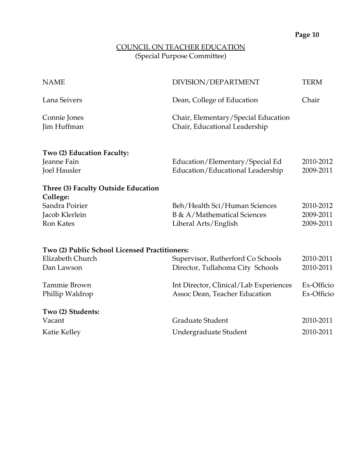#### COUNCIL ON TEACHER EDUCATION (Special Purpose Committee)

| <b>NAME</b>                                   | DIVISION/DEPARTMENT                    | <b>TERM</b> |
|-----------------------------------------------|----------------------------------------|-------------|
| Lana Seivers                                  | Dean, College of Education             | Chair       |
| Connie Jones                                  | Chair, Elementary/Special Education    |             |
| Jim Huffman                                   | Chair, Educational Leadership          |             |
| Two (2) Education Faculty:                    |                                        |             |
| Jeanne Fain                                   | Education/Elementary/Special Ed        | 2010-2012   |
| Joel Hausler                                  | Education/Educational Leadership       | 2009-2011   |
| Three (3) Faculty Outside Education           |                                        |             |
| College:                                      |                                        |             |
| Sandra Poirier                                | Beh/Health Sci/Human Sciences          | 2010-2012   |
| Jacob Klerlein                                | B & A/Mathematical Sciences            | 2009-2011   |
| <b>Ron Kates</b>                              | Liberal Arts/English                   | 2009-2011   |
| Two (2) Public School Licensed Practitioners: |                                        |             |
| Elizabeth Church                              | Supervisor, Rutherford Co Schools      | 2010-2011   |
| Dan Lawson                                    | Director, Tullahoma City Schools       | 2010-2011   |
| <b>Tammie Brown</b>                           | Int Director, Clinical/Lab Experiences | Ex-Officio  |
| Phillip Waldrop                               | Assoc Dean, Teacher Education          | Ex-Officio  |
| Two (2) Students:                             |                                        |             |
| Vacant                                        | Graduate Student                       | 2010-2011   |
| Katie Kelley                                  | Undergraduate Student                  | 2010-2011   |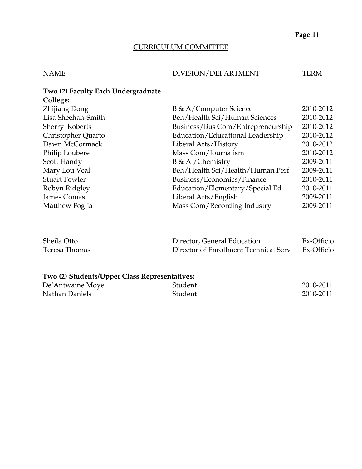# CURRICULUM COMMITTEE

## NAME DIVISION/DEPARTMENT TERM

| Two (2) Faculty Each Undergraduate |                                   |           |
|------------------------------------|-----------------------------------|-----------|
| College:                           |                                   |           |
| Zhijiang Dong                      | B & A/Computer Science            | 2010-2012 |
| Lisa Sheehan-Smith                 | Beh/Health Sci/Human Sciences     | 2010-2012 |
| Sherry Roberts                     | Business/Bus Com/Entrepreneurship | 2010-2012 |
| Christopher Quarto                 | Education/Educational Leadership  | 2010-2012 |
| Dawn McCormack                     | Liberal Arts/History              | 2010-2012 |
| Philip Loubere                     | Mass Com/Journalism               | 2010-2012 |
| Scott Handy                        | B & A /Chemistry                  | 2009-2011 |
| Mary Lou Veal                      | Beh/Health Sci/Health/Human Perf  | 2009-2011 |
| <b>Stuart Fowler</b>               | Business/Economics/Finance        | 2010-2011 |
| Robyn Ridgley                      | Education/Elementary/Special Ed   | 2010-2011 |
| James Comas                        | Liberal Arts/English              | 2009-2011 |
| Matthew Foglia                     | Mass Com/Recording Industry       | 2009-2011 |

| Sheila Otto   | Director, General Education           | Ex-Officio |
|---------------|---------------------------------------|------------|
| Teresa Thomas | Director of Enrollment Technical Serv | Ex-Officio |

# **Two (2) Students/Upper Class Representatives:**

| De'Antwaine Moye | Student | 2010-2011 |
|------------------|---------|-----------|
| Nathan Daniels   | Student | 2010-2011 |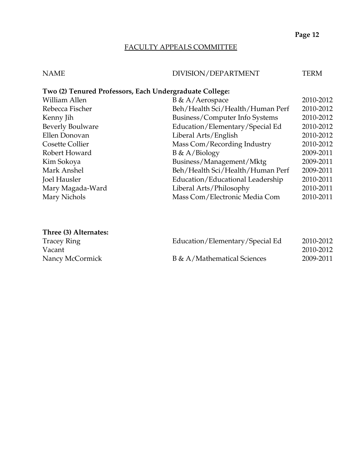## FACULTY APPEALS COMMITTEE

# NAME DIVISION/DEPARTMENT TERM

## **Two (2) Tenured Professors, Each Undergraduate College:**

| William Allen    | $B \& A/Aerospace$               | 2010-2012 |
|------------------|----------------------------------|-----------|
| Rebecca Fischer  | Beh/Health Sci/Health/Human Perf | 2010-2012 |
| Kenny Jih        | Business/Computer Info Systems   | 2010-2012 |
| Beverly Boulware | Education/Elementary/Special Ed  | 2010-2012 |
| Ellen Donovan    | Liberal Arts/English             | 2010-2012 |
| Cosette Collier  | Mass Com/Recording Industry      | 2010-2012 |
| Robert Howard    | $B \& A/Biology$                 | 2009-2011 |
| Kim Sokoya       | Business/Management/Mktg         | 2009-2011 |
| Mark Anshel      | Beh/Health Sci/Health/Human Perf | 2009-2011 |
| Joel Hausler     | Education/Educational Leadership | 2010-2011 |
| Mary Magada-Ward | Liberal Arts/Philosophy          | 2010-2011 |
| Mary Nichols     | Mass Com/Electronic Media Com    | 2010-2011 |
|                  |                                  |           |

## **Three (3) Alternates:**

| <b>Tracey Ring</b> | Education/Elementary/Special Ed | 2010-2012 |
|--------------------|---------------------------------|-----------|
| Vacant             |                                 | 2010-2012 |
| Nancy McCormick    | B & A/Mathematical Sciences     | 2009-2011 |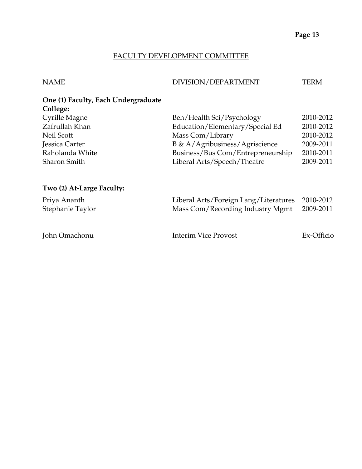#### FACULTY DEVELOPMENT COMMITTEE

#### NAME DIVISION/DEPARTMENT TERM

# **One (1) Faculty, Each Undergraduate College:**

| Cyrille Magne   | Beh/Health Sci/Psychology                           | 2010-2012 |
|-----------------|-----------------------------------------------------|-----------|
| Zafrullah Khan  | Education/Elementary/Special Ed                     | 2010-2012 |
| Neil Scott      | Mass Com/Library                                    | 2010-2012 |
| Jessica Carter  | $B \& A / \text{Agribusiness} / \text{Agriscience}$ | 2009-2011 |
| Raholanda White | Business/Bus Com/Entrepreneurship                   | 2010-2011 |
| Sharon Smith    | Liberal Arts/Speech/Theatre                         | 2009-2011 |
|                 |                                                     |           |

#### **Two (2) At-Large Faculty:**

| Priya Ananth<br>Stephanie Taylor | Liberal Arts/Foreign Lang/Literatures 2010-2012<br>Mass Com/Recording Industry Mgmt | 2009-2011  |
|----------------------------------|-------------------------------------------------------------------------------------|------------|
| John Omachonu                    | Interim Vice Provost                                                                | Ex-Officio |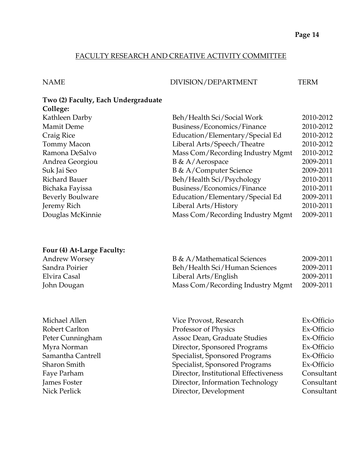## FACULTY RESEARCH AND CREATIVE ACTIVITY COMMITTEE

NAME DIVISION/DEPARTMENT TERM

#### **Two (2) Faculty, Each Undergraduate College:**

| $\sum$            |                                  |           |
|-------------------|----------------------------------|-----------|
| Kathleen Darby    | Beh/Health Sci/Social Work       | 2010-2012 |
| <b>Mamit Deme</b> | Business/Economics/Finance       | 2010-2012 |
| Craig Rice        | Education/Elementary/Special Ed  | 2010-2012 |
| Tommy Macon       | Liberal Arts/Speech/Theatre      | 2010-2012 |
| Ramona DeSalvo    | Mass Com/Recording Industry Mgmt | 2010-2012 |
| Andrea Georgiou   | $B \& A/Aerospace$               | 2009-2011 |
| Suk Jai Seo       | B & A/Computer Science           | 2009-2011 |
| Richard Bauer     | Beh/Health Sci/Psychology        | 2010-2011 |
| Bichaka Fayissa   | Business/Economics/Finance       | 2010-2011 |
| Beverly Boulware  | Education/Elementary/Special Ed  | 2009-2011 |
| Jeremy Rich       | Liberal Arts/History             | 2010-2011 |
| Douglas McKinnie  | Mass Com/Recording Industry Mgmt | 2009-2011 |
|                   |                                  |           |

## **Four (4) At-Large Faculty:**

| Andrew Worsey  | <b>B</b> & A/Mathematical Sciences | 2009-2011 |
|----------------|------------------------------------|-----------|
| Sandra Poirier | Beh/Health Sci/Human Sciences      | 2009-2011 |
| Elvira Casal   | Liberal Arts/English               | 2009-2011 |
| John Dougan    | Mass Com/Recording Industry Mgmt   | 2009-2011 |

| Michael Allen     | Vice Provost, Research                | Ex-Officio |
|-------------------|---------------------------------------|------------|
| Robert Carlton    | Professor of Physics                  | Ex-Officio |
| Peter Cunningham  | Assoc Dean, Graduate Studies          | Ex-Officio |
| Myra Norman       | Director, Sponsored Programs          | Ex-Officio |
| Samantha Cantrell | Specialist, Sponsored Programs        | Ex-Officio |
| Sharon Smith      | Specialist, Sponsored Programs        | Ex-Officio |
| Faye Parham       | Director, Institutional Effectiveness | Consultant |
| James Foster      | Director, Information Technology      | Consultant |
| Nick Perlick      | Director, Development                 | Consultant |
|                   |                                       |            |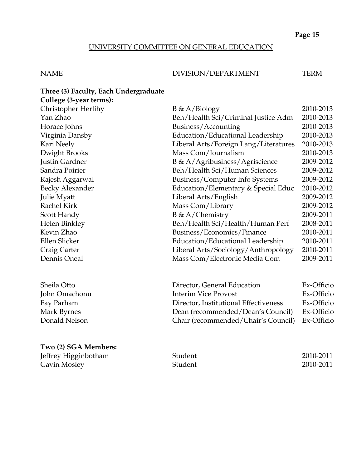# UNIVERSITY COMMITTEE ON GENERAL EDUCATION

#### NAME DIVISION/DEPARTMENT TERM

| Three (3) Faculty, Each Undergraduate |                                       |            |
|---------------------------------------|---------------------------------------|------------|
| College (3-year terms):               |                                       |            |
| Christopher Herlihy                   | $B \& A/Biology$                      | 2010-2013  |
| Yan Zhao                              | Beh/Health Sci/Criminal Justice Adm   | 2010-2013  |
| Horace Johns                          | Business/Accounting                   | 2010-2013  |
| Virginia Dansby                       | Education/Educational Leadership      | 2010-2013  |
| Kari Neely                            | Liberal Arts/Foreign Lang/Literatures | 2010-2013  |
| Dwight Brooks                         | Mass Com/Journalism                   | 2010-2013  |
| Justin Gardner                        | B & A/Agribusiness/Agriscience        | 2009-2012  |
| Sandra Poirier                        | Beh/Health Sci/Human Sciences         | 2009-2012  |
| Rajesh Aggarwal                       | Business/Computer Info Systems        | 2009-2012  |
| Becky Alexander                       | Education/Elementary & Special Educ   | 2010-2012  |
| Julie Myatt                           | Liberal Arts/English                  | 2009-2012  |
| Rachel Kirk                           | Mass Com/Library                      | 2009-2012  |
| Scott Handy                           | B & A/Chemistry                       | 2009-2011  |
| Helen Binkley                         | Beh/Health Sci/Health/Human Perf      | 2008-2011  |
| Kevin Zhao                            | Business/Economics/Finance            | 2010-2011  |
| Ellen Slicker                         | Education/Educational Leadership      | 2010-2011  |
| Craig Carter                          | Liberal Arts/Sociology/Anthropology   | 2010-2011  |
| Dennis Oneal                          | Mass Com/Electronic Media Com         | 2009-2011  |
| Sheila Otto                           | Director, General Education           | Ex-Officio |
| John Omachonu                         | <b>Interim Vice Provost</b>           | Ex-Officio |
| Fay Parham                            | Director, Institutional Effectiveness | Ex-Officio |
| Mark Byrnes                           | Dean (recommended/Dean's Council)     | Ex-Officio |
| Donald Nelson                         | Chair (recommended/Chair's Council)   | Ex-Officio |
|                                       |                                       |            |

## **Two (2) SGA Members:**

Jeffrey Higginbotham Gavin Mosley

| Student | 2010-2011 |
|---------|-----------|
| Student | 2010-2011 |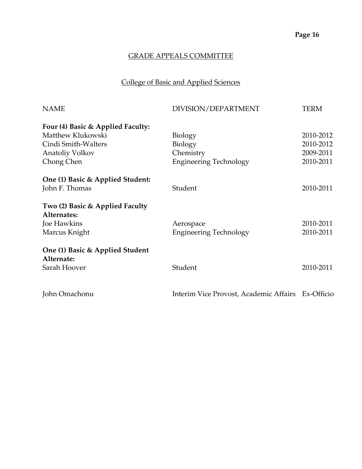# College of Basic and Applied Sciences

| DIVISION/DEPARTMENT           | <b>TERM</b>                                                  |
|-------------------------------|--------------------------------------------------------------|
|                               |                                                              |
| Biology                       | 2010-2012                                                    |
| Biology                       | 2010-2012                                                    |
| Chemistry                     | 2009-2011                                                    |
| <b>Engineering Technology</b> | 2010-2011                                                    |
|                               |                                                              |
| Student                       | 2010-2011                                                    |
|                               |                                                              |
|                               |                                                              |
| Aerospace                     | 2010-2011                                                    |
| <b>Engineering Technology</b> | 2010-2011                                                    |
|                               |                                                              |
|                               |                                                              |
|                               | 2010-2011                                                    |
|                               |                                                              |
|                               | Student<br>Interim Vice Provost, Academic Affairs Ex-Officio |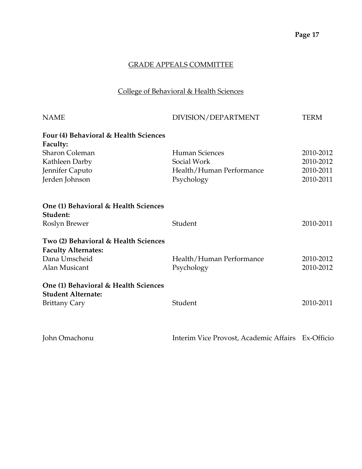# College of Behavioral & Health Sciences

| <b>NAME</b>                           | DIVISION/DEPARTMENT      | <b>TERM</b> |
|---------------------------------------|--------------------------|-------------|
| Four (4) Behavioral & Health Sciences |                          |             |
| Faculty:                              |                          |             |
| <b>Sharon Coleman</b>                 | <b>Human Sciences</b>    | 2010-2012   |
| Kathleen Darby                        | Social Work              | 2010-2012   |
| Jennifer Caputo                       | Health/Human Performance | 2010-2011   |
| Jerden Johnson                        | Psychology               | 2010-2011   |
| One (1) Behavioral & Health Sciences  |                          |             |
| Student:                              |                          |             |
| Roslyn Brewer                         | Student                  | 2010-2011   |
| Two (2) Behavioral & Health Sciences  |                          |             |
| <b>Faculty Alternates:</b>            |                          |             |
| Dana Umscheid                         | Health/Human Performance | 2010-2012   |
| Alan Musicant                         | Psychology               | 2010-2012   |
| One (1) Behavioral & Health Sciences  |                          |             |
| <b>Student Alternate:</b>             |                          |             |
| <b>Brittany Cary</b>                  | Student                  | 2010-2011   |
|                                       |                          |             |

| John Omachonu | Interim Vice Provost, Academic Affairs Ex-Officio |  |
|---------------|---------------------------------------------------|--|
|---------------|---------------------------------------------------|--|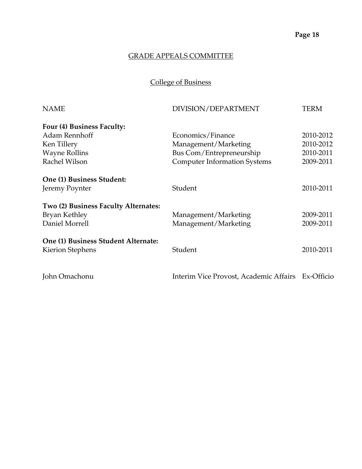College of Business

| <b>NAME</b>                          | DIVISION/DEPARTMENT                               | <b>TERM</b> |
|--------------------------------------|---------------------------------------------------|-------------|
| Four (4) Business Faculty:           |                                                   |             |
| Adam Rennhoff                        | Economics/Finance                                 | 2010-2012   |
| Ken Tillery                          | Management/Marketing                              | 2010-2012   |
| <b>Wayne Rollins</b>                 | Bus Com/Entrepreneurship                          | 2010-2011   |
| Rachel Wilson                        | <b>Computer Information Systems</b>               | 2009-2011   |
| One (1) Business Student:            |                                                   |             |
| Jeremy Poynter                       | Student                                           | 2010-2011   |
| Two (2) Business Faculty Alternates: |                                                   |             |
| Bryan Kethley                        | Management/Marketing                              | 2009-2011   |
| Daniel Morrell                       | Management/Marketing                              | 2009-2011   |
| One (1) Business Student Alternate:  |                                                   |             |
| Kierion Stephens                     | Student                                           | 2010-2011   |
| John Omachonu                        | Interim Vice Provost, Academic Affairs Ex-Officio |             |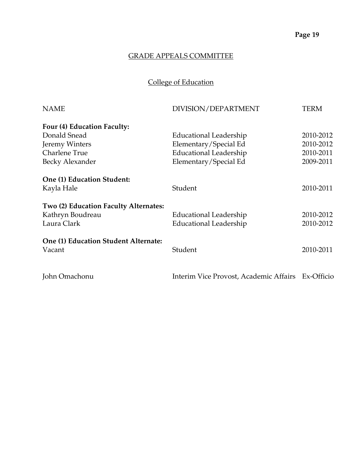# College of Education

| <b>NAME</b>                                                              | DIVISION/DEPARTMENT                               | TERM                   |
|--------------------------------------------------------------------------|---------------------------------------------------|------------------------|
| Four (4) Education Faculty:                                              |                                                   |                        |
| Donald Snead                                                             | Educational Leadership                            | 2010-2012              |
| Jeremy Winters                                                           | Elementary/Special Ed                             | 2010-2012              |
| Charlene True                                                            | Educational Leadership                            | 2010-2011              |
| Becky Alexander                                                          | Elementary/Special Ed                             | 2009-2011              |
| One (1) Education Student:<br>Kayla Hale                                 | Student                                           | 2010-2011              |
| Two (2) Education Faculty Alternates:<br>Kathryn Boudreau<br>Laura Clark | Educational Leadership<br>Educational Leadership  | 2010-2012<br>2010-2012 |
| One (1) Education Student Alternate:<br>Vacant                           | Student                                           | 2010-2011              |
| John Omachonu                                                            | Interim Vice Provost, Academic Affairs Ex-Officio |                        |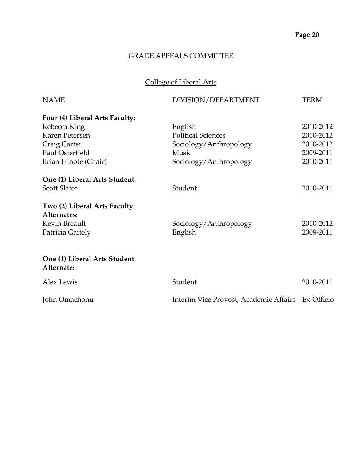# College of Liberal Arts

| <b>NAME</b>                                | DIVISION/DEPARTMENT                               | <b>TERM</b> |
|--------------------------------------------|---------------------------------------------------|-------------|
| Four (4) Liberal Arts Faculty:             |                                                   |             |
| Rebecca King                               | English                                           | 2010-2012   |
| Karen Petersen                             | <b>Political Sciences</b>                         | 2010-2012   |
| Craig Carter                               | Sociology/Anthropology                            | 2010-2012   |
| Paul Osterfield                            | Music                                             | 2009-2011   |
| Brian Hinote (Chair)                       | Sociology/Anthropology                            | 2010-2011   |
| One (1) Liberal Arts Student:              |                                                   |             |
| <b>Scott Slater</b>                        | Student                                           | 2010-2011   |
| Two (2) Liberal Arts Faculty               |                                                   |             |
| Alternates:                                |                                                   |             |
| Kevin Breault                              | Sociology/Anthropology                            | 2010-2012   |
| Patricia Gaitely                           | English                                           | 2009-2011   |
| One (1) Liberal Arts Student<br>Alternate: |                                                   |             |
| <b>Alex Lewis</b>                          | Student                                           | 2010-2011   |
| John Omachonu                              | Interim Vice Provost, Academic Affairs Ex-Officio |             |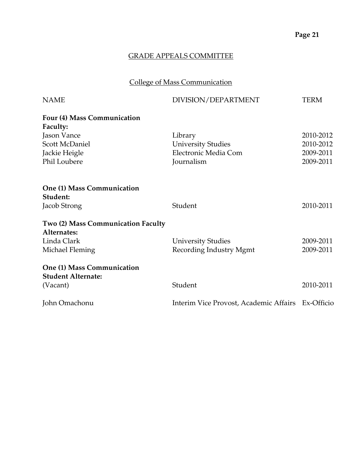# College of Mass Communication

| <b>NAME</b>                            | DIVISION/DEPARTMENT                               | <b>TERM</b> |
|----------------------------------------|---------------------------------------------------|-------------|
| Four (4) Mass Communication            |                                                   |             |
| Faculty:                               |                                                   |             |
| Jason Vance                            | Library                                           | 2010-2012   |
| <b>Scott McDaniel</b>                  | <b>University Studies</b>                         | 2010-2012   |
| Jackie Heigle                          | Electronic Media Com                              | 2009-2011   |
| Phil Loubere                           | Journalism                                        | 2009-2011   |
| One (1) Mass Communication<br>Student: |                                                   |             |
| Jacob Strong                           | Student                                           | 2010-2011   |
|                                        |                                                   |             |
| Two (2) Mass Communication Faculty     |                                                   |             |
| Alternates:                            |                                                   |             |
| Linda Clark                            | <b>University Studies</b>                         | 2009-2011   |
| Michael Fleming                        | Recording Industry Mgmt                           | 2009-2011   |
| One (1) Mass Communication             |                                                   |             |
| <b>Student Alternate:</b>              |                                                   |             |
| (Vacant)                               | Student                                           | 2010-2011   |
| John Omachonu                          | Interim Vice Provost, Academic Affairs Ex-Officio |             |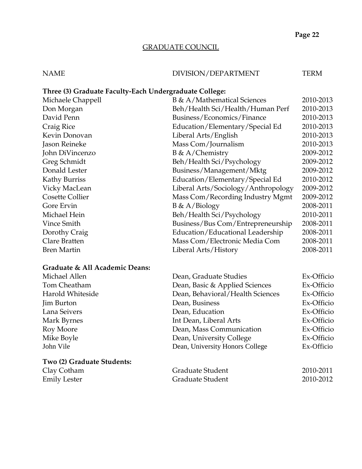## GRADUATE COUNCIL

# NAME DIVISION/DEPARTMENT TERM

## **Three (3) Graduate Faculty-Each Undergraduate College:**

| Michaele Chappell  | B & A/Mathematical Sciences         | 2010-2013 |
|--------------------|-------------------------------------|-----------|
| Don Morgan         | Beh/Health Sci/Health/Human Perf    | 2010-2013 |
| David Penn         | Business/Economics/Finance          | 2010-2013 |
| Craig Rice         | Education/Elementary/Special Ed     | 2010-2013 |
| Kevin Donovan      | Liberal Arts/English                | 2010-2013 |
| Jason Reineke      | Mass Com/Journalism                 | 2010-2013 |
| John DiVincenzo    | $B \& A/Chemistry$                  | 2009-2012 |
| Greg Schmidt       | Beh/Health Sci/Psychology           | 2009-2012 |
| Donald Lester      | Business/Management/Mktg            | 2009-2012 |
| Kathy Burriss      | Education/Elementary/Special Ed     | 2010-2012 |
| Vicky MacLean      | Liberal Arts/Sociology/Anthropology | 2009-2012 |
| Cosette Collier    | Mass Com/Recording Industry Mgmt    | 2009-2012 |
| Gore Ervin         | $B \& A/Biology$                    | 2008-2011 |
| Michael Hein       | Beh/Health Sci/Psychology           | 2010-2011 |
| Vince Smith        | Business/Bus Com/Entrepreneurship   | 2008-2011 |
| Dorothy Craig      | Education/Educational Leadership    | 2008-2011 |
| Clare Bratten      | Mass Com/Electronic Media Com       | 2008-2011 |
| <b>Bren Martin</b> | Liberal Arts/History                | 2008-2011 |
|                    |                                     |           |

## **Graduate & All Academic Deans:**

| Michael Allen              | Dean, Graduate Studies           | Ex-Officio |
|----------------------------|----------------------------------|------------|
| Tom Cheatham               | Dean, Basic & Applied Sciences   | Ex-Officio |
| Harold Whiteside           | Dean, Behavioral/Health Sciences | Ex-Officio |
| <b>Jim Burton</b>          | Dean, Business                   | Ex-Officio |
| Lana Seivers               | Dean, Education                  | Ex-Officio |
| Mark Byrnes                | Int Dean, Liberal Arts           | Ex-Officio |
| Roy Moore                  | Dean, Mass Communication         | Ex-Officio |
| Mike Boyle                 | Dean, University College         | Ex-Officio |
| John Vile                  | Dean, University Honors College  | Ex-Officio |
| Two (2) Graduate Students: |                                  |            |
| Clay Cotham                | Graduate Student                 | 2010-2011  |
| <b>Emily Lester</b>        | Graduate Student                 | 2010-2012  |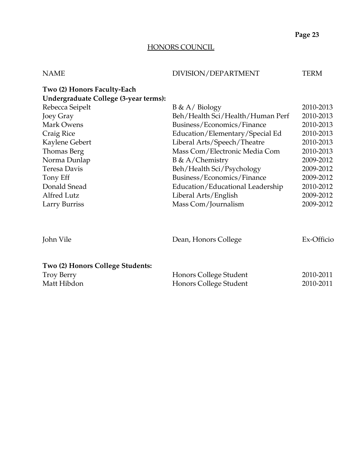## HONORS COUNCIL

| <b>NAME</b>                                                          | DIVISION/DEPARTMENT              | <b>TERM</b> |
|----------------------------------------------------------------------|----------------------------------|-------------|
| Two (2) Honors Faculty-Each<br>Undergraduate College (3-year terms): |                                  |             |
| Rebecca Seipelt                                                      | $B \& A / Biology$               | 2010-2013   |
| Joey Gray                                                            | Beh/Health Sci/Health/Human Perf | 2010-2013   |
| Mark Owens                                                           | Business/Economics/Finance       | 2010-2013   |
| Craig Rice                                                           | Education/Elementary/Special Ed  | 2010-2013   |
| Kaylene Gebert                                                       | Liberal Arts/Speech/Theatre      | 2010-2013   |
| Thomas Berg                                                          | Mass Com/Electronic Media Com    | 2010-2013   |
| Norma Dunlap                                                         | $B \& A/Chemistry$               | 2009-2012   |
| Teresa Davis                                                         | Beh/Health Sci/Psychology        | 2009-2012   |
| Tony Eff                                                             | Business/Economics/Finance       | 2009-2012   |
| Donald Snead                                                         | Education/Educational Leadership | 2010-2012   |
| Alfred Lutz                                                          | Liberal Arts/English             | 2009-2012   |
| Larry Burriss                                                        | Mass Com/Journalism              | 2009-2012   |
|                                                                      |                                  |             |
| John Vile                                                            | Dean, Honors College             | Ex-Officio  |
| Two (2) Honors College Students:                                     |                                  |             |
| <b>Troy Berry</b>                                                    | Honors College Student           | 2010-2011   |
| Matt Hibdon                                                          | Honors College Student           | 2010-2011   |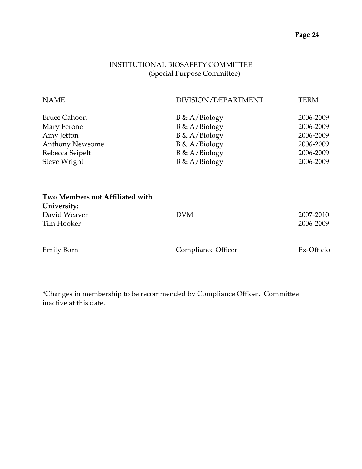# INSTITUTIONAL BIOSAFETY COMMITTEE (Special Purpose Committee)

| <b>NAME</b>                     | DIVISION/DEPARTMENT | <b>TERM</b> |
|---------------------------------|---------------------|-------------|
| <b>Bruce Cahoon</b>             | $B \& A/Biology$    | 2006-2009   |
| Mary Ferone                     | $B \& A/Biology$    | 2006-2009   |
| Amy Jetton                      | $B \& A/Biology$    | 2006-2009   |
| <b>Anthony Newsome</b>          | $B \& A/Biology$    | 2006-2009   |
| Rebecca Seipelt                 | $B \& A/Biology$    | 2006-2009   |
| Steve Wright                    | $B \& A/Biology$    | 2006-2009   |
| Two Members not Affiliated with |                     |             |
| University:                     |                     |             |
| David Weaver                    | <b>DVM</b>          | 2007-2010   |
| Tim Hooker                      |                     | 2006-2009   |
|                                 |                     |             |

Emily Born Compliance Officer Ex-Officio

\*Changes in membership to be recommended by Compliance Officer. Committee inactive at this date.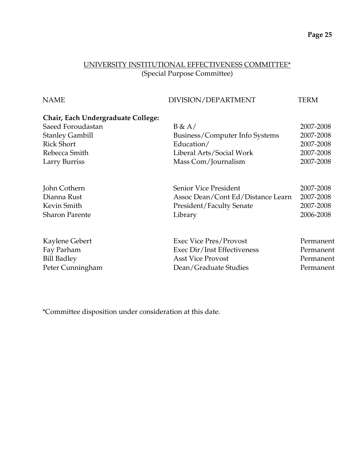# UNIVERSITY INSTITUTIONAL EFFECTIVENESS COMMITTEE\* (Special Purpose Committee)

| <b>NAME</b>                        | DIVISION/DEPARTMENT               | <b>TERM</b> |
|------------------------------------|-----------------------------------|-------------|
| Chair, Each Undergraduate College: |                                   |             |
| Saeed Foroudastan                  | B & A/                            | 2007-2008   |
| <b>Stanley Gambill</b>             | Business/Computer Info Systems    | 2007-2008   |
| <b>Rick Short</b>                  | Education/                        | 2007-2008   |
| Rebecca Smith                      | Liberal Arts/Social Work          | 2007-2008   |
| Larry Burriss                      | Mass Com/Journalism               | 2007-2008   |
| John Cothern                       | Senior Vice President             | 2007-2008   |
| Dianna Rust                        | Assoc Dean/Cont Ed/Distance Learn | 2007-2008   |
| Kevin Smith                        | President/Faculty Senate          | 2007-2008   |
| <b>Sharon Parente</b>              | Library                           | 2006-2008   |
| Kaylene Gebert                     | <b>Exec Vice Pres/Provost</b>     | Permanent   |
| Fay Parham                         | Exec Dir/Inst Effectiveness       | Permanent   |
| <b>Bill Badley</b>                 | <b>Asst Vice Provost</b>          | Permanent   |
| Peter Cunningham                   | Dean/Graduate Studies             | Permanent   |

\*Committee disposition under consideration at this date.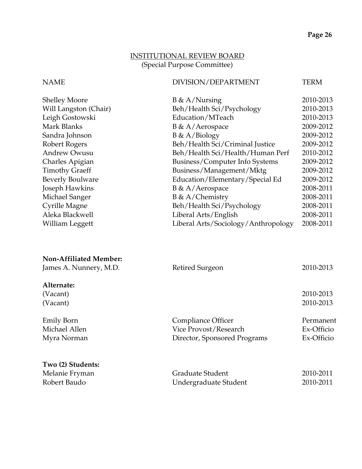# INSTITUTIONAL REVIEW BOARD (Special Purpose Committee)

# NAME DIVISION/DEPARTMENT TERM

| <b>Shelley Moore</b>    | $B \& A/Nursing$                    | 2010-2013 |
|-------------------------|-------------------------------------|-----------|
| Will Langston (Chair)   | Beh/Health Sci/Psychology           | 2010-2013 |
| Leigh Gostowski         | Education/MTeach                    | 2010-2013 |
| Mark Blanks             | $B \& A/Aerospace$                  | 2009-2012 |
| Sandra Johnson          | $B \& A/Biology$                    | 2009-2012 |
| Robert Rogers           | Beh/Health Sci/Criminal Justice     | 2009-2012 |
| <b>Andrew Owusu</b>     | Beh/Health Sci/Health/Human Perf    | 2010-2012 |
| Charles Apigian         | Business/Computer Info Systems      | 2009-2012 |
| <b>Timothy Graeff</b>   | Business/Management/Mktg            | 2009-2012 |
| <b>Beverly Boulware</b> | Education/Elementary/Special Ed     | 2009-2012 |
| Joseph Hawkins          | $B \& A/Aerospace$                  | 2008-2011 |
| Michael Sanger          | $B \& A/Chemistry$                  | 2008-2011 |
| Cyrille Magne           | Beh/Health Sci/Psychology           | 2008-2011 |
| Aleka Blackwell         | Liberal Arts/English                | 2008-2011 |
| William Leggett         | Liberal Arts/Sociology/Anthropology | 2008-2011 |

| <b>Non-Affiliated Member:</b><br>James A. Nunnery, M.D. | Retired Surgeon              | 2010-2013  |
|---------------------------------------------------------|------------------------------|------------|
| Alternate:                                              |                              |            |
| (Vacant)                                                |                              | 2010-2013  |
| (Vacant)                                                |                              | 2010-2013  |
| <b>Emily Born</b>                                       | Compliance Officer           | Permanent  |
| Michael Allen                                           | Vice Provost/Research        | Ex-Officio |
| Myra Norman                                             | Director, Sponsored Programs | Ex-Officio |
| Two (2) Students:                                       |                              |            |
| Melanie Fryman                                          | Graduate Student             | 2010-2011  |
| Robert Baudo                                            | Undergraduate Student        | 2010-2011  |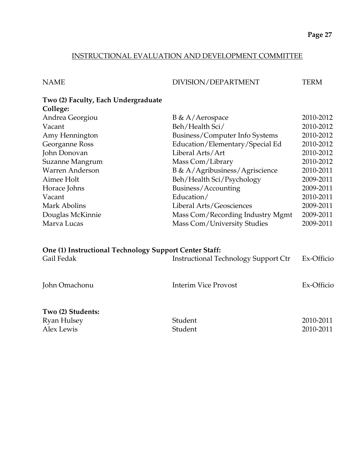#### INSTRUCTIONAL EVALUATION AND DEVELOPMENT COMMITTEE

| NAME | DIVISION/DEPARTMENT | TERM |
|------|---------------------|------|
|      |                     |      |

| Two (2) Faculty, Each Undergraduate |  |
|-------------------------------------|--|
| College:                            |  |

| Andrea Georgiou  | $B \& A/Aerospace$               | 2010-2012 |
|------------------|----------------------------------|-----------|
| Vacant           | Beh/Health Sci/                  | 2010-2012 |
| Amy Hennington   | Business/Computer Info Systems   | 2010-2012 |
| Georganne Ross   | Education/Elementary/Special Ed  | 2010-2012 |
| John Donovan     | Liberal Arts/Art                 | 2010-2012 |
| Suzanne Mangrum  | Mass Com/Library                 | 2010-2012 |
| Warren Anderson  | B & A/Agribusiness/Agriscience   | 2010-2011 |
| Aimee Holt       | Beh/Health Sci/Psychology        | 2009-2011 |
| Horace Johns     | Business/Accounting              | 2009-2011 |
| Vacant           | Education/                       | 2010-2011 |
| Mark Abolins     | Liberal Arts/Geosciences         | 2009-2011 |
| Douglas McKinnie | Mass Com/Recording Industry Mgmt | 2009-2011 |
| Marva Lucas      | Mass Com/University Studies      | 2009-2011 |
|                  |                                  |           |

| One (1) Instructional Technology Support Center Staff: |                                             |            |  |
|--------------------------------------------------------|---------------------------------------------|------------|--|
| Gail Fedak                                             | <b>Instructional Technology Support Ctr</b> | Ex-Officio |  |
|                                                        |                                             |            |  |
| John Omachonu                                          | <b>Interim Vice Provost</b>                 | Ex-Officio |  |
|                                                        |                                             |            |  |
| Two (2) Students:                                      |                                             |            |  |
| Ryan Hulsey                                            | Student                                     | 2010-2011  |  |
| Alex Lewis                                             | Student                                     | 2010-2011  |  |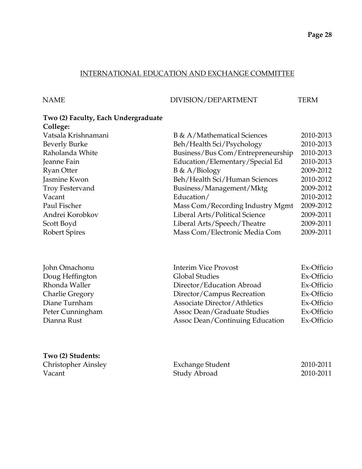# INTERNATIONAL EDUCATION AND EXCHANGE COMMITTEE

**Two (2) Students:**

#### NAME DIVISION/DEPARTMENT TERM

#### **Two (2) Faculty, Each Undergraduate College:**

| $\sim$                 |                                   |           |
|------------------------|-----------------------------------|-----------|
| Vatsala Krishnamani    | B & A/Mathematical Sciences       | 2010-2013 |
| <b>Beverly Burke</b>   | Beh/Health Sci/Psychology         | 2010-2013 |
| Raholanda White        | Business/Bus Com/Entrepreneurship | 2010-2013 |
| Jeanne Fain            | Education/Elementary/Special Ed   | 2010-2013 |
| <b>Ryan Otter</b>      | $B \& A/Biology$                  | 2009-2012 |
| Jasmine Kwon           | Beh/Health Sci/Human Sciences     | 2010-2012 |
| <b>Troy Festervand</b> | Business/Management/Mktg          | 2009-2012 |
| Vacant                 | Education/                        | 2010-2012 |
| Paul Fischer           | Mass Com/Recording Industry Mgmt  | 2009-2012 |
| Andrei Korobkov        | Liberal Arts/Political Science    | 2009-2011 |
| Scott Boyd             | Liberal Arts/Speech/Theatre       | 2009-2011 |
| <b>Robert Spires</b>   | Mass Com/Electronic Media Com     | 2009-2011 |
|                        |                                   |           |

| John Omachonu          | <b>Interim Vice Provost</b>         | Ex-Officio |
|------------------------|-------------------------------------|------------|
| Doug Heffington        | <b>Global Studies</b>               | Ex-Officio |
| Rhonda Waller          | Director/Education Abroad           | Ex-Officio |
| <b>Charlie Gregory</b> | Director/Campus Recreation          | Ex-Officio |
| Diane Turnham          | <b>Associate Director/Athletics</b> | Ex-Officio |
| Peter Cunningham       | Assoc Dean/Graduate Studies         | Ex-Officio |
| Dianna Rust            | Assoc Dean/Continuing Education     | Ex-Officio |

| <b>Christopher Ainsley</b> | Exchange Student | 2010-2011 |
|----------------------------|------------------|-----------|
| Vacant                     | Study Abroad     | 2010-2011 |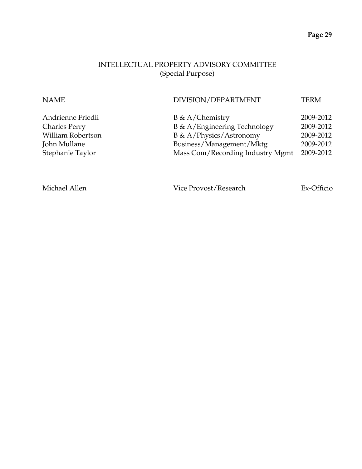# INTELLECTUAL PROPERTY ADVISORY COMMITTEE (Special Purpose)

| <b>NAME</b>          | DIVISION/DEPARTMENT              | <b>TERM</b> |
|----------------------|----------------------------------|-------------|
| Andrienne Friedli    | $B \& A/Chemistry$               | 2009-2012   |
| <b>Charles Perry</b> | B & A/Engineering Technology     | 2009-2012   |
| William Robertson    | B & A/Physics/Astronomy          | 2009-2012   |
| John Mullane         | Business/Management/Mktg         | 2009-2012   |
| Stephanie Taylor     | Mass Com/Recording Industry Mgmt | 2009-2012   |

Michael Allen Vice Provost/Research Ex-Officio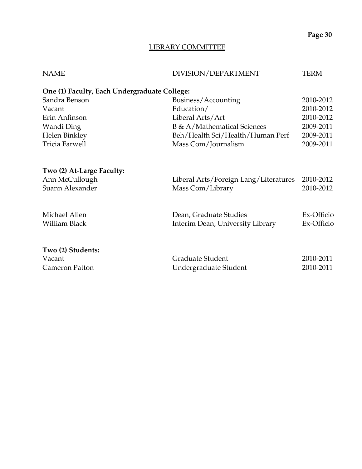# LIBRARY COMMITTEE

| <b>NAME</b>                                  | DIVISION/DEPARTMENT                   | <b>TERM</b> |
|----------------------------------------------|---------------------------------------|-------------|
| One (1) Faculty, Each Undergraduate College: |                                       |             |
| Sandra Benson                                | Business/Accounting                   | 2010-2012   |
| Vacant                                       | Education/                            | 2010-2012   |
| Erin Anfinson                                | Liberal Arts/Art                      | 2010-2012   |
| Wandi Ding                                   | B & A/Mathematical Sciences           | 2009-2011   |
| Helen Binkley                                | Beh/Health Sci/Health/Human Perf      | 2009-2011   |
| Tricia Farwell                               | Mass Com/Journalism                   | 2009-2011   |
| Two (2) At-Large Faculty:                    |                                       |             |
| Ann McCullough                               | Liberal Arts/Foreign Lang/Literatures | 2010-2012   |
| Suann Alexander                              | Mass Com/Library                      | 2010-2012   |
| Michael Allen                                | Dean, Graduate Studies                | Ex-Officio  |
| William Black                                | Interim Dean, University Library      | Ex-Officio  |
| Two (2) Students:                            |                                       |             |
| Vacant                                       | Graduate Student                      | 2010-2011   |
| Cameron Patton                               | Undergraduate Student                 | 2010-2011   |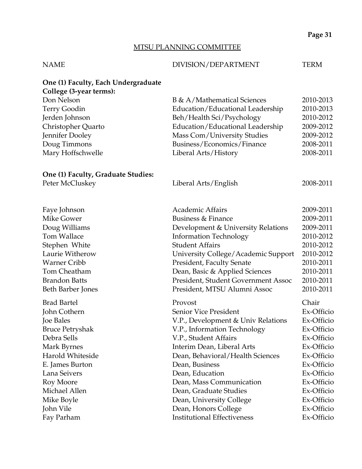# MTSU PLANNING COMMITTEE

#### NAME DIVISION/DEPARTMENT TERM

# **One (1) Faculty, Each Undergraduate**

| College (3-year terms):            |                                     |            |
|------------------------------------|-------------------------------------|------------|
| Don Nelson                         | B & A/Mathematical Sciences         | 2010-2013  |
| Terry Goodin                       | Education/Educational Leadership    | 2010-2013  |
| Jerden Johnson                     | Beh/Health Sci/Psychology           | 2010-2012  |
| Christopher Quarto                 | Education/Educational Leadership    | 2009-2012  |
| Jennifer Dooley                    | Mass Com/University Studies         | 2009-2012  |
| Doug Timmons                       | Business/Economics/Finance          | 2008-2011  |
| Mary Hoffschwelle                  | Liberal Arts/History                | 2008-2011  |
| One (1) Faculty, Graduate Studies: |                                     |            |
| Peter McCluskey                    | Liberal Arts/English                | 2008-2011  |
| Faye Johnson                       | Academic Affairs                    | 2009-2011  |
| <b>Mike Gower</b>                  | Business & Finance                  | 2009-2011  |
| Doug Williams                      | Development & University Relations  | 2009-2011  |
| Tom Wallace                        | <b>Information Technology</b>       | 2010-2012  |
| Stephen White                      | <b>Student Affairs</b>              | 2010-2012  |
| Laurie Witherow                    | University College/Academic Support | 2010-2012  |
| <b>Warner Cribb</b>                | President, Faculty Senate           | 2010-2011  |
| Tom Cheatham                       | Dean, Basic & Applied Sciences      | 2010-2011  |
| <b>Brandon Batts</b>               | President, Student Government Assoc | 2010-2011  |
| Beth Barber Jones                  | President, MTSU Alumni Assoc        | 2010-2011  |
| <b>Brad Bartel</b>                 | Provost                             | Chair      |
| John Cothern                       | Senior Vice President               | Ex-Officio |
| Joe Bales                          | V.P., Development & Univ Relations  | Ex-Officio |
| <b>Bruce Petryshak</b>             | V.P., Information Technology        | Ex-Officio |
| Debra Sells                        | V.P., Student Affairs               | Ex-Officio |
| Mark Byrnes                        | Interim Dean, Liberal Arts          | Ex-Officio |
| Harold Whiteside                   | Dean, Behavioral/Health Sciences    | Ex-Officio |
| E. James Burton                    | Dean, Business                      | Ex-Officio |
| Lana Seivers                       | Dean, Education                     | Ex-Officio |
| Roy Moore                          | Dean, Mass Communication            | Ex-Officio |
| Michael Allen                      | Dean, Graduate Studies              | Ex-Officio |
| Mike Boyle                         | Dean, University College            | Ex-Officio |
| John Vile                          | Dean, Honors College                | Ex-Officio |

Fay Parham Institutional Effectiveness Ex-Officio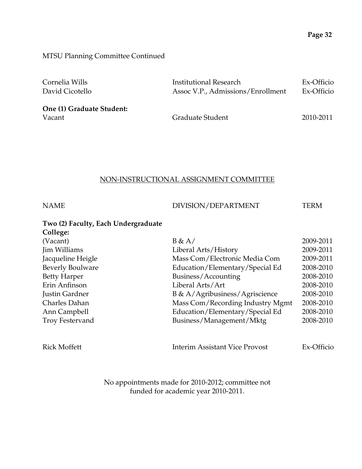MTSU Planning Committee Continued

| Cornelia Wills            | Institutional Research            | Ex-Officio |
|---------------------------|-----------------------------------|------------|
| David Cicotello           | Assoc V.P., Admissions/Enrollment | Ex-Officio |
|                           |                                   |            |
| One (1) Graduate Student: |                                   |            |
| Vacant                    | Graduate Student                  | 2010-2011  |

#### NON-INSTRUCTIONAL ASSIGNMENT COMMITTEE

| <b>NAME</b>                         | DIVISION/DEPARTMENT                   | <b>TERM</b> |
|-------------------------------------|---------------------------------------|-------------|
| Two (2) Faculty, Each Undergraduate |                                       |             |
| College:                            |                                       |             |
| (Vacant)                            | B & A/                                | 2009-2011   |
| Jim Williams                        | Liberal Arts/History                  | 2009-2011   |
| Jacqueline Heigle                   | Mass Com/Electronic Media Com         | 2009-2011   |
| <b>Beverly Boulware</b>             | Education/Elementary/Special Ed       | 2008-2010   |
| <b>Betty Harper</b>                 | Business/Accounting                   | 2008-2010   |
| Erin Anfinson                       | Liberal Arts/Art                      | 2008-2010   |
| Justin Gardner                      | B & A/Agribusiness/Agriscience        | 2008-2010   |
| Charles Dahan                       | Mass Com/Recording Industry Mgmt      | 2008-2010   |
| Ann Campbell                        | Education/Elementary/Special Ed       | 2008-2010   |
| <b>Troy Festervand</b>              | Business/Management/Mktg              | 2008-2010   |
| <b>Rick Moffett</b>                 | <b>Interim Assistant Vice Provost</b> | Ex-Officio  |

No appointments made for 2010-2012; committee not funded for academic year 2010-2011.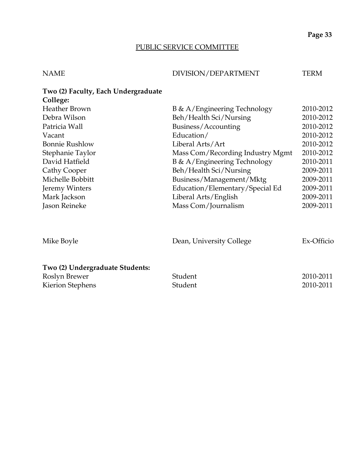# PUBLIC SERVICE COMMITTEE

| NAME | DIVISION/DEPARTMENT | <b>TERM</b> |
|------|---------------------|-------------|

| Two (2) Faculty, Each Undergraduate |                                  |            |
|-------------------------------------|----------------------------------|------------|
| College:                            |                                  |            |
| <b>Heather Brown</b>                | B & A/Engineering Technology     | 2010-2012  |
| Debra Wilson                        | Beh/Health Sci/Nursing           | 2010-2012  |
| Patricia Wall                       | Business/Accounting              | 2010-2012  |
| Vacant                              | Education/                       | 2010-2012  |
| <b>Bonnie Rushlow</b>               | Liberal Arts/Art                 | 2010-2012  |
| Stephanie Taylor                    | Mass Com/Recording Industry Mgmt | 2010-2012  |
| David Hatfield                      | B & A/Engineering Technology     | 2010-2011  |
| Cathy Cooper                        | Beh/Health Sci/Nursing           | 2009-2011  |
| Michelle Bobbitt                    | Business/Management/Mktg         | 2009-2011  |
| Jeremy Winters                      | Education/Elementary/Special Ed  | 2009-2011  |
| Mark Jackson                        | Liberal Arts/English             | 2009-2011  |
| Jason Reineke                       | Mass Com/Journalism              | 2009-2011  |
|                                     |                                  |            |
| Mike Boyle                          | Dean, University College         | Ex-Officio |
|                                     |                                  |            |

# **Two (2) Undergraduate Students:**

| Roslyn Brewer           | Student | 2010-2011 |
|-------------------------|---------|-----------|
| <b>Kierion Stephens</b> | Student | 2010-2011 |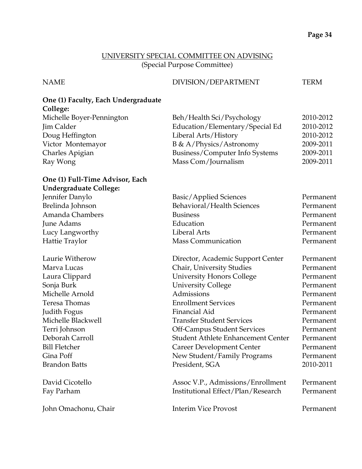#### UNIVERSITY SPECIAL COMMITTEE ON ADVISING (Special Purpose Committee)

#### NAME DIVISION/DEPARTMENT TERM

#### **One (1) Faculty, Each Undergraduate College:**

| Michelle Boyer-Pennington | Beh/Health Sci/Psychology       | 2010-2012 |
|---------------------------|---------------------------------|-----------|
| Jim Calder                | Education/Elementary/Special Ed | 2010-2012 |
| Doug Heffington           | Liberal Arts/History            | 2010-2012 |
| Victor Montemayor         | B & A/Physics/Astronomy         | 2009-2011 |
| Charles Apigian           | Business/Computer Info Systems  | 2009-2011 |
| Ray Wong                  | Mass Com/Journalism             | 2009-2011 |
|                           |                                 |           |

#### **One (1) Full-Time Advisor, Each Undergraduate College:**

| Jennifer Danylo        | Basic/Applied Sciences                    | Permanent |
|------------------------|-------------------------------------------|-----------|
| Brelinda Johnson       | Behavioral/Health Sciences                | Permanent |
| <b>Amanda Chambers</b> | <b>Business</b>                           | Permanent |
| June Adams             | Education                                 | Permanent |
| Lucy Langworthy        | Liberal Arts                              | Permanent |
| Hattie Traylor         | <b>Mass Communication</b>                 | Permanent |
| Laurie Witherow        | Director, Academic Support Center         | Permanent |
| Marva Lucas            | Chair, University Studies                 | Permanent |
| Laura Clippard         | <b>University Honors College</b>          | Permanent |
| Sonja Burk             | <b>University College</b>                 | Permanent |
| Michelle Arnold        | Admissions                                | Permanent |
| Teresa Thomas          | <b>Enrollment Services</b>                | Permanent |
| Judith Fogus           | Financial Aid                             | Permanent |
| Michelle Blackwell     | <b>Transfer Student Services</b>          | Permanent |
| Terri Johnson          | <b>Off-Campus Student Services</b>        | Permanent |
| Deborah Carroll        | <b>Student Athlete Enhancement Center</b> | Permanent |
| <b>Bill Fletcher</b>   | <b>Career Development Center</b>          | Permanent |
| Gina Poff              | New Student/Family Programs               | Permanent |
| <b>Brandon Batts</b>   | President, SGA                            | 2010-2011 |
| David Cicotello        | Assoc V.P., Admissions/Enrollment         | Permanent |
| Fay Parham             | Institutional Effect/Plan/Research        | Permanent |
| John Omachonu, Chair   | <b>Interim Vice Provost</b>               | Permanent |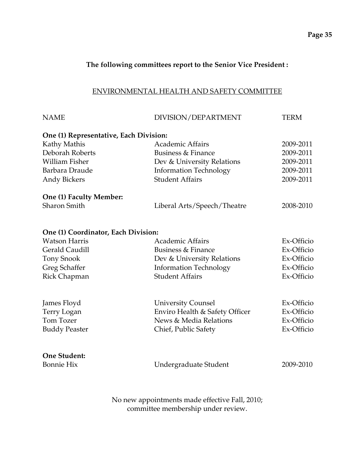#### **The following committees report to the Senior Vice President :**

#### ENVIRONMENTAL HEALTH AND SAFETY COMMITTEE

| <b>NAME</b>                                                 | DIVISION/DEPARTMENT                                         | <b>TERM</b> |
|-------------------------------------------------------------|-------------------------------------------------------------|-------------|
| One (1) Representative, Each Division:                      |                                                             |             |
| Kathy Mathis                                                | <b>Academic Affairs</b>                                     | 2009-2011   |
| Deborah Roberts                                             | <b>Business &amp; Finance</b>                               | 2009-2011   |
| <b>William Fisher</b>                                       | Dev & University Relations                                  | 2009-2011   |
| Barbara Draude                                              | <b>Information Technology</b>                               | 2009-2011   |
| <b>Andy Bickers</b>                                         | <b>Student Affairs</b>                                      | 2009-2011   |
| One (1) Faculty Member:                                     |                                                             |             |
| <b>Sharon Smith</b>                                         | Liberal Arts/Speech/Theatre                                 | 2008-2010   |
|                                                             |                                                             |             |
| One (1) Coordinator, Each Division:<br><b>Watson Harris</b> | <b>Academic Affairs</b>                                     | Ex-Officio  |
| Gerald Caudill                                              | Business & Finance                                          | Ex-Officio  |
|                                                             |                                                             | Ex-Officio  |
| <b>Tony Snook</b><br>Greg Schaffer                          | Dev & University Relations<br><b>Information Technology</b> | Ex-Officio  |
| Rick Chapman                                                | <b>Student Affairs</b>                                      | Ex-Officio  |
|                                                             |                                                             |             |
| James Floyd                                                 | <b>University Counsel</b>                                   | Ex-Officio  |
| Terry Logan                                                 | Enviro Health & Safety Officer                              | Ex-Officio  |
| <b>Tom Tozer</b>                                            | News & Media Relations                                      | Ex-Officio  |
| <b>Buddy Peaster</b>                                        | Chief, Public Safety                                        | Ex-Officio  |
| One Student:                                                |                                                             |             |
| <b>Bonnie Hix</b>                                           | Undergraduate Student                                       | 2009-2010   |
|                                                             |                                                             |             |
|                                                             |                                                             |             |

No new appointments made effective Fall, 2010; committee membership under review.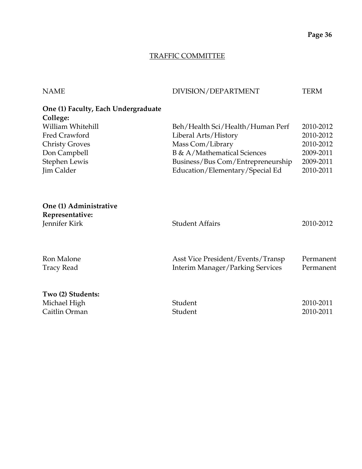# TRAFFIC COMMITTEE

| <b>NAME</b>                                                | DIVISION/DEPARTMENT                     | <b>TERM</b> |
|------------------------------------------------------------|-----------------------------------------|-------------|
| One (1) Faculty, Each Undergraduate<br>College:            |                                         |             |
| William Whitehill                                          | Beh/Health Sci/Health/Human Perf        | 2010-2012   |
| Fred Crawford                                              | Liberal Arts/History                    | 2010-2012   |
| <b>Christy Groves</b>                                      | Mass Com/Library                        | 2010-2012   |
| Don Campbell                                               | B & A/Mathematical Sciences             | 2009-2011   |
| Stephen Lewis                                              | Business/Bus Com/Entrepreneurship       | 2009-2011   |
| Jim Calder                                                 | Education/Elementary/Special Ed         | 2010-2011   |
| One (1) Administrative<br>Representative:<br>Jennifer Kirk | <b>Student Affairs</b>                  | 2010-2012   |
| Ron Malone                                                 | Asst Vice President/Events/Transp       | Permanent   |
| <b>Tracy Read</b>                                          | <b>Interim Manager/Parking Services</b> | Permanent   |
|                                                            |                                         |             |
| Two (2) Students:                                          |                                         |             |
| Michael High                                               | Student                                 | 2010-2011   |
| Caitlin Orman                                              | Student                                 | 2010-2011   |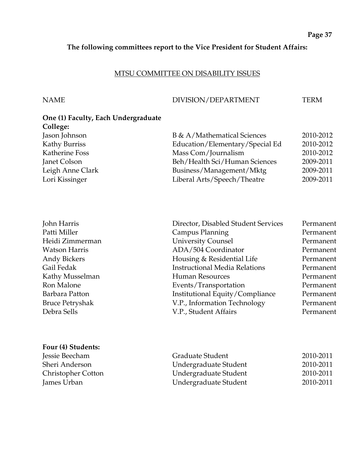## **The following committees report to the Vice President for Student Affairs:**

#### MTSU COMMITTEE ON DISABILITY ISSUES

#### NAME DIVISION/DEPARTMENT TERM

| One (1) Faculty, Each Undergraduate |                                 |           |
|-------------------------------------|---------------------------------|-----------|
| College:                            |                                 |           |
| Jason Johnson                       | B & A/Mathematical Sciences     | 2010-2012 |
| Kathy Burriss                       | Education/Elementary/Special Ed | 2010-2012 |
| Katherine Foss                      | Mass Com/Journalism             | 2010-2012 |
| Janet Colson                        | Beh/Health Sci/Human Sciences   | 2009-2011 |
| Leigh Anne Clark                    | Business/Management/Mktg        | 2009-2011 |
| Lori Kissinger                      | Liberal Arts/Speech/Theatre     | 2009-2011 |

| Director, Disabled Student Services  | Permanent |
|--------------------------------------|-----------|
| Campus Planning                      | Permanent |
| <b>University Counsel</b>            | Permanent |
| ADA/504 Coordinator                  | Permanent |
| Housing & Residential Life           | Permanent |
| <b>Instructional Media Relations</b> | Permanent |
| Human Resources                      | Permanent |
| Events/Transportation                | Permanent |
| Institutional Equity/Compliance      | Permanent |
| V.P., Information Technology         | Permanent |
| V.P., Student Affairs                | Permanent |
|                                      |           |

#### **Four (4) Students:**

Jessie Beecham Sheri Anderson Christopher Cotton James Urban

| Graduate Student      | 2010-2011 |
|-----------------------|-----------|
| Undergraduate Student | 2010-2011 |
| Undergraduate Student | 2010-2011 |
| Undergraduate Student | 2010-2011 |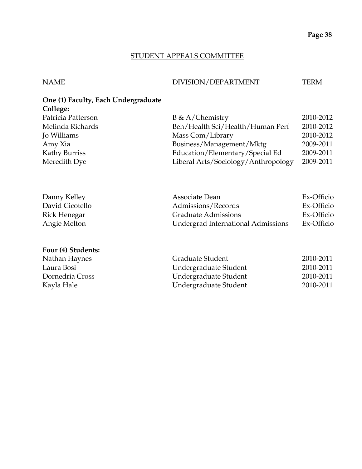## STUDENT APPEALS COMMITTEE

#### NAME DIVISION/DEPARTMENT TERM

# **One (1) Faculty, Each Undergraduate College:**

| Patricia Patterson | $B \& A/Chemistry$                  | 2010-2012 |
|--------------------|-------------------------------------|-----------|
| Melinda Richards   | Beh/Health Sci/Health/Human Perf    | 2010-2012 |
| Jo Williams        | Mass Com/Library                    | 2010-2012 |
| Amy Xia            | Business/Management/Mktg            | 2009-2011 |
| Kathy Burriss      | Education/Elementary/Special Ed     | 2009-2011 |
| Meredith Dye       | Liberal Arts/Sociology/Anthropology | 2009-2011 |

| Danny Kelley    | Associate Dean                     | Ex-Officio |
|-----------------|------------------------------------|------------|
| David Cicotello | Admissions/Records                 | Ex-Officio |
| Rick Henegar    | <b>Graduate Admissions</b>         | Ex-Officio |
| Angie Melton    | Undergrad International Admissions | Ex-Officio |

#### **Four (4) Students:**

| Nathan Haynes   | Graduate Student      | 2010-2011 |
|-----------------|-----------------------|-----------|
| Laura Bosi      | Undergraduate Student | 2010-2011 |
| Dornedria Cross | Undergraduate Student | 2010-2011 |
| Kayla Hale      | Undergraduate Student | 2010-2011 |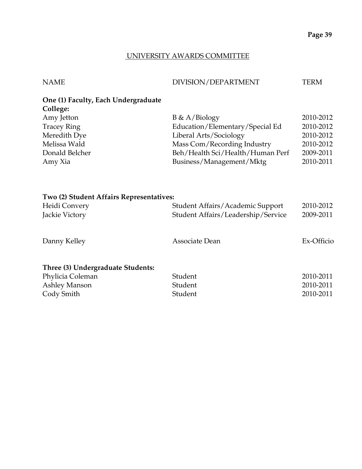## UNIVERSITY AWARDS COMMITTEE

| NAME | DIVISION/DEPARTMENT | <b>TERM</b> |
|------|---------------------|-------------|
|      |                     |             |

#### **One (1) Faculty, Each Undergraduate College:**

| Amy Jetton         | $B \& A/Biology$                 | 2010-2012 |
|--------------------|----------------------------------|-----------|
| <b>Tracey Ring</b> | Education/Elementary/Special Ed  | 2010-2012 |
| Meredith Dye       | Liberal Arts/Sociology           | 2010-2012 |
| Melissa Wald       | Mass Com/Recording Industry      | 2010-2012 |
| Donald Belcher     | Beh/Health Sci/Health/Human Perf | 2009-2011 |
| Amy Xia            | Business/Management/Mktg         | 2010-2011 |
|                    |                                  |           |

# **Two (2) Student Affairs Representatives:**

| Heidi Convery                     | Student Affairs/Academic Support   | 2010-2012  |
|-----------------------------------|------------------------------------|------------|
| Jackie Victory                    | Student Affairs/Leadership/Service | 2009-2011  |
|                                   |                                    |            |
| Danny Kelley                      | Associate Dean                     | Ex-Officio |
|                                   |                                    |            |
| Three (3) Undergraduate Students: |                                    |            |
| Phylicia Coleman                  | Student                            | 2010-2011  |
| Ashley Manson                     | Student                            | 2010-2011  |
| Cody Smith                        | Student                            | 2010-2011  |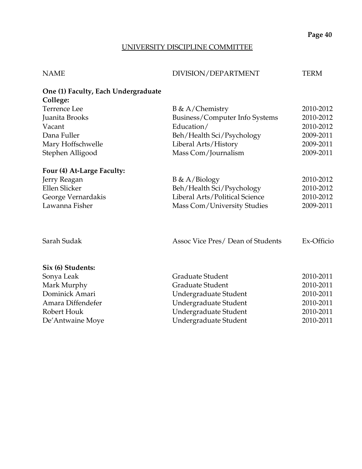# UNIVERSITY DISCIPLINE COMMITTEE

| <b>NAME</b> | DIVISION/DEPARTMENT | TERM |
|-------------|---------------------|------|

| One (1) Faculty, Each Undergraduate |                                  |            |
|-------------------------------------|----------------------------------|------------|
| College:                            |                                  |            |
| <b>Terrence Lee</b>                 | $B \& A/Chemistry$               | 2010-2012  |
| Juanita Brooks                      | Business/Computer Info Systems   | 2010-2012  |
| Vacant                              | Education/                       | 2010-2012  |
| Dana Fuller                         | Beh/Health Sci/Psychology        | 2009-2011  |
| Mary Hoffschwelle                   | Liberal Arts/History             | 2009-2011  |
| Stephen Alligood                    | Mass Com/Journalism              | 2009-2011  |
| Four (4) At-Large Faculty:          |                                  |            |
| Jerry Reagan                        | $B \& A/Biology$                 | 2010-2012  |
| Ellen Slicker                       | Beh/Health Sci/Psychology        | 2010-2012  |
| George Vernardakis                  | Liberal Arts/Political Science   | 2010-2012  |
| Lawanna Fisher                      | Mass Com/University Studies      | 2009-2011  |
| Sarah Sudak                         | Assoc Vice Pres/Dean of Students | Ex-Officio |
| Six (6) Students:                   |                                  |            |
| Sonya Leak                          | Graduate Student                 | 2010-2011  |
| Mark Murphy                         | Graduate Student                 | 2010-2011  |
| Dominick Amari                      | Undergraduate Student            | 2010-2011  |
| Amara Diffendefer                   | Undergraduate Student            | 2010-2011  |
| Robert Houk                         | Undergraduate Student            | 2010-2011  |
| De'Antwaine Moye                    | Undergraduate Student            | 2010-2011  |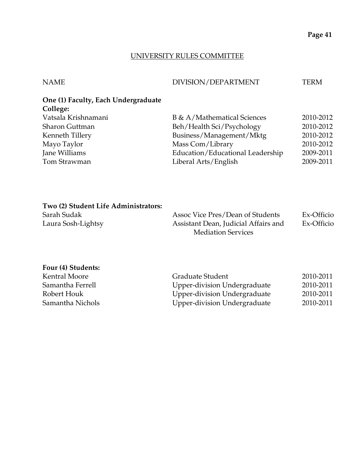#### UNIVERSITY RULES COMMITTEE

| <b>NAME</b> | DIVISION/DEPARTMENT | TERM. |
|-------------|---------------------|-------|
|             |                     |       |

# **One (1) Faculty, Each Undergraduate College:**

| Vatsala Krishnamani | B & A/Mathematical Sciences      | 2010-2012 |
|---------------------|----------------------------------|-----------|
| Sharon Guttman      | Beh/Health Sci/Psychology        | 2010-2012 |
| Kenneth Tillery     | Business/Management/Mktg         | 2010-2012 |
| Mayo Taylor         | Mass Com/Library                 | 2010-2012 |
| Jane Williams       | Education/Educational Leadership | 2009-2011 |
| Tom Strawman        | Liberal Arts/English             | 2009-2011 |

#### **Two (2) Student Life Administrators:**

| Sarah Sudak        | Assoc Vice Pres/Dean of Students     | Ex-Officio |
|--------------------|--------------------------------------|------------|
| Laura Sosh-Lightsy | Assistant Dean, Judicial Affairs and | Ex-Officio |
|                    | <b>Mediation Services</b>            |            |

# **Four (4) Students:**

| Kentral Moore    | Graduate Student             | 2010-2011 |
|------------------|------------------------------|-----------|
| Samantha Ferrell | Upper-division Undergraduate | 2010-2011 |
| Robert Houk      | Upper-division Undergraduate | 2010-2011 |
| Samantha Nichols | Upper-division Undergraduate | 2010-2011 |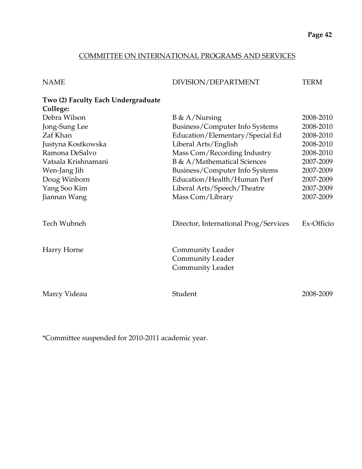## COMMITTEE ON INTERNATIONAL PROGRAMS AND SERVICES

| <b>NAME</b>                        | DIVISION/DEPARTMENT                                                    | <b>TERM</b> |
|------------------------------------|------------------------------------------------------------------------|-------------|
| Two (2) Faculty Each Undergraduate |                                                                        |             |
| College:                           |                                                                        |             |
| Debra Wilson                       | $B \& A/Nursing$                                                       | 2008-2010   |
| Jong-Sung Lee                      | Business/Computer Info Systems                                         | 2008-2010   |
| Zaf Khan                           | Education/Elementary/Special Ed                                        | 2008-2010   |
| Justyna Kostkowska                 | Liberal Arts/English                                                   | 2008-2010   |
| Ramona DeSalvo                     | Mass Com/Recording Industry                                            | 2008-2010   |
| Vatsala Krishnamani                | B & A/Mathematical Sciences                                            | 2007-2009   |
| Wen-Jang Jih                       | Business/Computer Info Systems                                         | 2007-2009   |
| Doug Winborn                       | Education/Health/Human Perf                                            | 2007-2009   |
| Yang Soo Kim                       | Liberal Arts/Speech/Theatre                                            | 2007-2009   |
| Jiannan Wang                       | Mass Com/Library                                                       | 2007-2009   |
| Tech Wubneh                        | Director, International Prog/Services                                  | Ex-Officio  |
| Harry Horne                        | Community Leader<br><b>Community Leader</b><br><b>Community Leader</b> |             |
| Marcy Videau                       | Student                                                                | 2008-2009   |

\*Committee suspended for 2010-2011 academic year.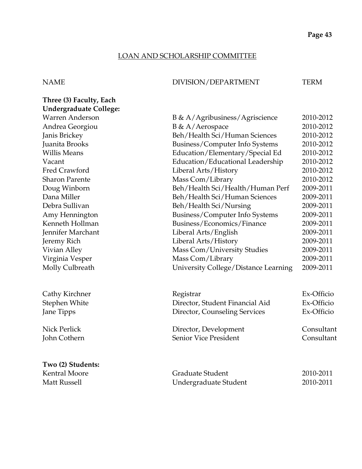## LOAN AND SCHOLARSHIP COMMITTEE

#### NAME DIVISION/DEPARTMENT TERM

| Three (3) Faculty, Each       |                                      |            |
|-------------------------------|--------------------------------------|------------|
| <b>Undergraduate College:</b> |                                      |            |
| <b>Warren Anderson</b>        | B & A/Agribusiness/Agriscience       | 2010-2012  |
| Andrea Georgiou               | B & A/Aerospace                      | 2010-2012  |
| Janis Brickey                 | Beh/Health Sci/Human Sciences        | 2010-2012  |
| Juanita Brooks                | Business/Computer Info Systems       | 2010-2012  |
| <b>Willis Means</b>           | Education/Elementary/Special Ed      | 2010-2012  |
| Vacant                        | Education/Educational Leadership     | 2010-2012  |
| Fred Crawford                 | Liberal Arts/History                 | 2010-2012  |
| <b>Sharon Parente</b>         | Mass Com/Library                     | 2010-2012  |
| Doug Winborn                  | Beh/Health Sci/Health/Human Perf     | 2009-2011  |
| Dana Miller                   | Beh/Health Sci/Human Sciences        | 2009-2011  |
| Debra Sullivan                | Beh/Health Sci/Nursing               | 2009-2011  |
| Amy Hennington                | Business/Computer Info Systems       | 2009-2011  |
| Kenneth Hollman               | Business/Economics/Finance           | 2009-2011  |
| Jennifer Marchant             | Liberal Arts/English                 | 2009-2011  |
| Jeremy Rich                   | Liberal Arts/History                 | 2009-2011  |
| Vivian Alley                  | Mass Com/University Studies          | 2009-2011  |
| Virginia Vesper               | Mass Com/Library                     | 2009-2011  |
| Molly Culbreath               | University College/Distance Learning | 2009-2011  |
| Cathy Kirchner                | Registrar                            | Ex-Officio |
| Stephen White                 | Director, Student Financial Aid      | Ex-Officio |
| Jane Tipps                    | Director, Counseling Services        | Ex-Officio |
| <b>Nick Perlick</b>           | Director, Development                | Consultant |
| John Cothern                  | <b>Senior Vice President</b>         | Consultant |
| Two (2) Students:             |                                      |            |
| <b>Kentral Moore</b>          | <b>Graduate Student</b>              | 2010-2011  |
| <b>Matt Russell</b>           | Undergraduate Student                | 2010-2011  |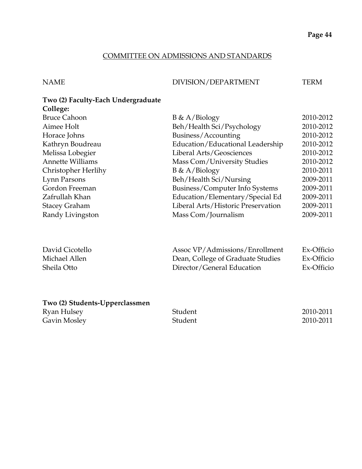#### COMMITTEE ON ADMISSIONS AND STANDARDS

NAME DIVISION/DEPARTMENT TERM

#### **Two (2) Faculty-Each Undergraduate College:**

| <b>Bruce Cahoon</b>     | $B \& A/Biology$                   | 2010-2012 |
|-------------------------|------------------------------------|-----------|
| Aimee Holt              | Beh/Health Sci/Psychology          | 2010-2012 |
| Horace Johns            | Business/Accounting                | 2010-2012 |
| Kathryn Boudreau        | Education/Educational Leadership   | 2010-2012 |
| Melissa Lobegier        | Liberal Arts/Geosciences           | 2010-2012 |
| <b>Annette Williams</b> | Mass Com/University Studies        | 2010-2012 |
| Christopher Herlihy     | $B \& A/Biology$                   | 2010-2011 |
| Lynn Parsons            | Beh/Health Sci/Nursing             | 2009-2011 |
| Gordon Freeman          | Business/Computer Info Systems     | 2009-2011 |
| Zafrullah Khan          | Education/Elementary/Special Ed    | 2009-2011 |
| <b>Stacey Graham</b>    | Liberal Arts/Historic Preservation | 2009-2011 |
| Randy Livingston        | Mass Com/Journalism                | 2009-2011 |
|                         |                                    |           |

| David Cicotello | Assoc VP/Admissions/Enrollment    | Ex-Officio |
|-----------------|-----------------------------------|------------|
| Michael Allen   | Dean, College of Graduate Studies | Ex-Officio |
| Sheila Otto     | Director/General Education        | Ex-Officio |

## **Two (2) Students-Upperclassmen**

| Ryan Hulsey  | Student | 2010-2011 |
|--------------|---------|-----------|
| Gavin Mosley | Student | 2010-2011 |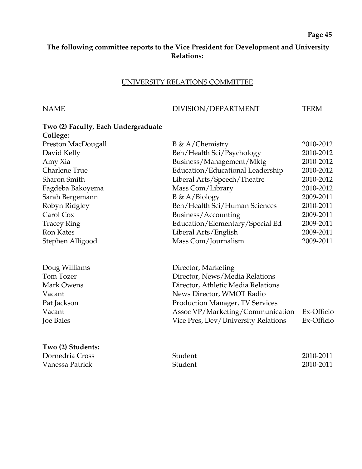#### **The following committee reports to the Vice President for Development and University Relations:**

#### UNIVERSITY RELATIONS COMMITTEE

#### NAME DIVISION/DEPARTMENT TERM

# **Two (2) Faculty, Each Undergraduate College:** Preston MacDougall B & A/Chemistry 2010-2012 David Kelly Beh/Health Sci/Psychology 2010-2012 Amy Xia Business/Management/Mktg 2010-2012 Charlene True **Education**/Educational Leadership 2010-2012 Sharon Smith Liberal Arts/Speech/Theatre 2010-2012 Fagdeba Bakoyema Mass Com/Library 2010-2012 Sarah Bergemann B & A/Biology 2009-2011 Robyn Ridgley Beh/Health Sci/Human Sciences 2010-2011 Carol Cox Business/Accounting 2009-2011 Tracey Ring **Education/Elementary/Special Ed** 2009-2011 Ron Kates Liberal Arts/English 2009-2011 Stephen Alligood Mass Com/Journalism 2009-2011 Doug Williams Director, Marketing Tom Tozer Director, News/Media Relations Mark Owens Director, Athletic Media Relations

| Pat Jackson       | <b>Production Manager, TV Services</b>      |            |
|-------------------|---------------------------------------------|------------|
| Vacant            | Assoc VP/Marketing/Communication Ex-Officio |            |
| Joe Bales         | Vice Pres, Dev/University Relations         | Ex-Officio |
| Two (2) Students: |                                             |            |

| Dornedria Cross | Student | 2010-2011 |
|-----------------|---------|-----------|
| Vanessa Patrick | Student | 2010-2011 |

Vacant News Director, WMOT Radio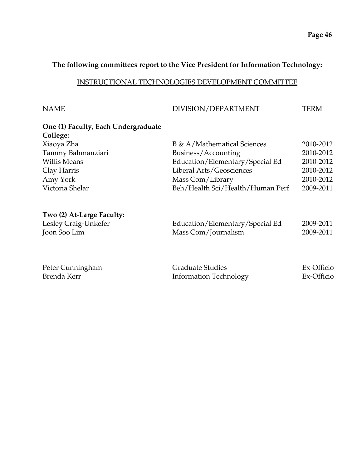#### **The following committees report to the Vice President for Information Technology:**

#### INSTRUCTIONAL TECHNOLOGIES DEVELOPMENT COMMITTEE

| <b>NAME</b> | DIVISION/DEPARTMENT | <b>TERM</b> |
|-------------|---------------------|-------------|
|             |                     |             |

#### **One (1) Faculty, Each Undergraduate College:**

| CONCE.              |                                  |           |
|---------------------|----------------------------------|-----------|
| Xiaoya Zha          | B & A/Mathematical Sciences      | 2010-2012 |
| Tammy Bahmanziari   | Business/Accounting              | 2010-2012 |
| <b>Willis Means</b> | Education/Elementary/Special Ed  | 2010-2012 |
| Clay Harris         | Liberal Arts/Geosciences         | 2010-2012 |
| Amy York            | Mass Com/Library                 | 2010-2012 |
| Victoria Shelar     | Beh/Health Sci/Health/Human Perf | 2009-2011 |
|                     |                                  |           |

#### **Two (2) At-Large Faculty:**

| Lesley Craig-Unkefer | Education/Elementary/Special Ed | 2009-2011 |
|----------------------|---------------------------------|-----------|
| Joon Soo Lim         | Mass Com/Journalism             | 2009-2011 |

| Peter Cunningham | <b>Graduate Studies</b>       | Ex-Officio |
|------------------|-------------------------------|------------|
| Brenda Kerr      | <b>Information Technology</b> | Ex-Officio |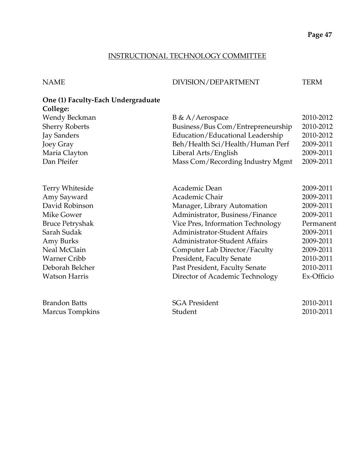## INSTRUCTIONAL TECHNOLOGY COMMITTEE

## NAME DIVISION/DEPARTMENT TERM

# **One (1) Faculty-Each Undergraduate College:**

| Wendy Beckman          | $B \& A/Aerospace$                   | 2010-2012  |
|------------------------|--------------------------------------|------------|
| <b>Sherry Roberts</b>  | Business/Bus Com/Entrepreneurship    | 2010-2012  |
| Jay Sanders            | Education/Educational Leadership     | 2010-2012  |
| Joey Gray              | Beh/Health Sci/Health/Human Perf     | 2009-2011  |
| Maria Clayton          | Liberal Arts/English                 | 2009-2011  |
| Dan Pfeifer            | Mass Com/Recording Industry Mgmt     | 2009-2011  |
|                        |                                      |            |
| Terry Whiteside        | Academic Dean                        | 2009-2011  |
| Amy Sayward            | Academic Chair                       | 2009-2011  |
| David Robinson         | Manager, Library Automation          | 2009-2011  |
| Mike Gower             | Administrator, Business/Finance      | 2009-2011  |
| <b>Bruce Petryshak</b> | Vice Pres, Information Technology    | Permanent  |
| Sarah Sudak            | <b>Administrator-Student Affairs</b> | 2009-2011  |
| Amy Burks              | <b>Administrator-Student Affairs</b> | 2009-2011  |
| Neal McClain           | Computer Lab Director/Faculty        | 2009-2011  |
| <b>Warner Cribb</b>    | President, Faculty Senate            | 2010-2011  |
| Deborah Belcher        | Past President, Faculty Senate       | 2010-2011  |
| <b>Watson Harris</b>   | Director of Academic Technology      | Ex-Officio |
| <b>Brandon Batts</b>   | <b>SGA President</b>                 | 2010-2011  |
| Marcus Tompkins        | Student                              | 2010-2011  |
|                        |                                      |            |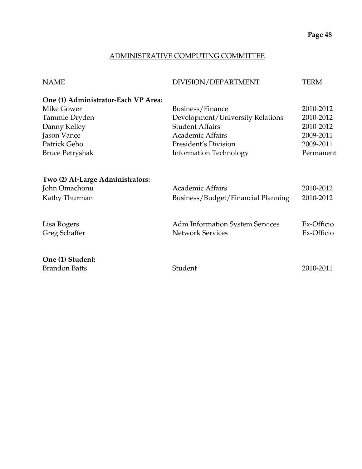## ADMINISTRATIVE COMPUTING COMMITTEE

| <b>NAME</b>                         | DIVISION/DEPARTMENT                    | TERM       |
|-------------------------------------|----------------------------------------|------------|
| One (1) Administrator-Each VP Area: |                                        |            |
| Mike Gower                          | Business/Finance                       | 2010-2012  |
| Tammie Dryden                       | Development/University Relations       | 2010-2012  |
| Danny Kelley                        | <b>Student Affairs</b>                 | 2010-2012  |
| Jason Vance                         | <b>Academic Affairs</b>                | 2009-2011  |
| Patrick Geho                        | President's Division                   | 2009-2011  |
| <b>Bruce Petryshak</b>              | <b>Information Technology</b>          | Permanent  |
|                                     |                                        |            |
| Two (2) At-Large Administrators:    |                                        |            |
| John Omachonu                       | Academic Affairs                       | 2010-2012  |
| Kathy Thurman                       | Business/Budget/Financial Planning     | 2010-2012  |
|                                     |                                        |            |
| Lisa Rogers                         | <b>Adm Information System Services</b> | Ex-Officio |
| Greg Schaffer                       | <b>Network Services</b>                | Ex-Officio |
|                                     |                                        |            |
| One (1) Student:                    |                                        |            |
| <b>Brandon Batts</b>                | Student                                | 2010-2011  |
|                                     |                                        |            |